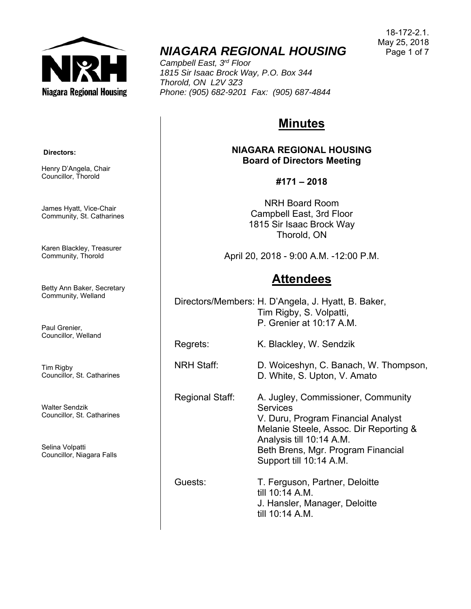

# *NIAGARA REGIONAL HOUSING*

*Campbell East, 3rd Floor 1815 Sir Isaac Brock Way, P.O. Box 344 Thorold, ON L2V 3Z3 Phone: (905) 682-9201 Fax: (905) 687-4844* 

# **Minutes**

**NIAGARA REGIONAL HOUSING Board of Directors Meeting** 

# **#171 – 2018**

NRH Board Room Campbell East, 3rd Floor 1815 Sir Isaac Brock Way Thorold, ON

April 20, 2018 - 9:00 A.M. -12:00 P.M.

# **Attendees**

Directors/Members: H. D'Angela, J. Hyatt, B. Baker, Tim Rigby, S. Volpatti, P. Grenier at 10:17 A.M.

Regrets: K. Blackley, W. Sendzik

NRH Staff: D. Woiceshyn, C. Banach, W. Thompson,

Regional Staff: A. Jugley, Commissioner, Community **Services** V. Duru, Program Financial Analyst Melanie Steele, Assoc. Dir Reporting & Analysis till 10:14 A.M. Beth Brens, Mgr. Program Financial Support till 10:14 A.M.

D. White, S. Upton, V. Amato

Guests: T. Ferguson, Partner, Deloitte till 10:14 A.M. J. Hansler, Manager, Deloitte till 10:14 A.M.

 **Directors:** 

Henry D'Angela, Chair Councillor, Thorold

James Hyatt, Vice-Chair Community, St. Catharines

Karen Blackley, Treasurer Community, Thorold

Betty Ann Baker, Secretary Community, Welland

Paul Grenier, Councillor, Welland

Tim Rigby Councillor, St. Catharines

Walter Sendzik Councillor, St. Catharines

Selina Volpatti Councillor, Niagara Falls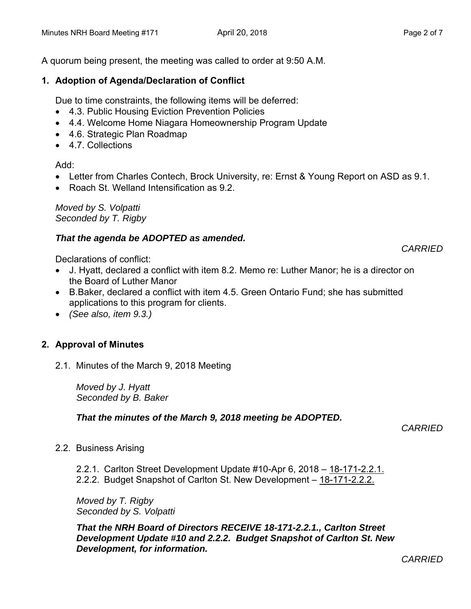A quorum being present, the meeting was called to order at 9:50 A.M.

### **1. Adoption of Agenda/Declaration of Conflict**

Due to time constraints, the following items will be deferred:

- 4.3. Public Housing Eviction Prevention Policies
- 4.4. Welcome Home Niagara Homeownership Program Update
- 4.6. Strategic Plan Roadmap
- 4.7. Collections

Add:

- Letter from Charles Contech, Brock University, re: Ernst & Young Report on ASD as 9.1.
- Roach St. Welland Intensification as 9.2.

*Moved by S. Volpatti Seconded by T. Rigby*

# *That the agenda be ADOPTED as amended.*

Declarations of conflict:

- J. Hyatt, declared a conflict with item 8.2. Memo re: Luther Manor; he is a director on the Board of Luther Manor
- B.Baker, declared a conflict with item 4.5. Green Ontario Fund; she has submitted applications to this program for clients.
- *(See also, item 9.3.)*

# **2. Approval of Minutes**

2.1. Minutes of the March 9, 2018 Meeting

*Moved by J. Hyatt Seconded by B. Baker*

# *That the minutes of the March 9, 2018 meeting be ADOPTED.*

 *CARRIED* 

- 2.2. Business Arising
	- 2.2.1. Carlton Street Development Update #10-Apr 6, 2018 18-171-2.2.1.
	- 2.2.2. Budget Snapshot of Carlton St. New Development 18-171-2.2.2.

*Moved by T. Rigby Seconded by S. Volpatti* 

*That the NRH Board of Directors RECEIVE 18-171-2.2.1., Carlton Street Development Update #10 and 2.2.2. Budget Snapshot of Carlton St. New Development, for information.* 

*CARRIED*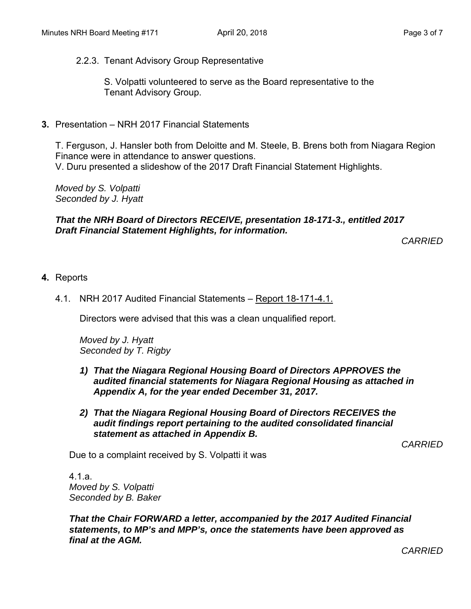2.2.3. Tenant Advisory Group Representative

 S. Volpatti volunteered to serve as the Board representative to the Tenant Advisory Group.

**3.** Presentation – NRH 2017 Financial Statements

T. Ferguson, J. Hansler both from Deloitte and M. Steele, B. Brens both from Niagara Region Finance were in attendance to answer questions. V. Duru presented a slideshow of the 2017 Draft Financial Statement Highlights.

*Moved by S. Volpatti Seconded by J. Hyatt* 

### *That the NRH Board of Directors RECEIVE, presentation 18-171-3., entitled 2017 Draft Financial Statement Highlights, for information.*

*CARRIED* 

- **4.** Reports
	- 4.1. NRH 2017 Audited Financial Statements Report 18-171-4.1.

Directors were advised that this was a clean unqualified report.

*Moved by J. Hyatt Seconded by T. Rigby*

- *1) That the Niagara Regional Housing Board of Directors APPROVES the audited financial statements for Niagara Regional Housing as attached in Appendix A, for the year ended December 31, 2017.*
- *2) That the Niagara Regional Housing Board of Directors RECEIVES the audit findings report pertaining to the audited consolidated financial statement as attached in Appendix B.*

*CARRIED* 

Due to a complaint received by S. Volpatti it was

4.1.a. *Moved by S. Volpatti Seconded by B. Baker* 

*That the Chair FORWARD a letter, accompanied by the 2017 Audited Financial statements, to MP's and MPP's, once the statements have been approved as final at the AGM.*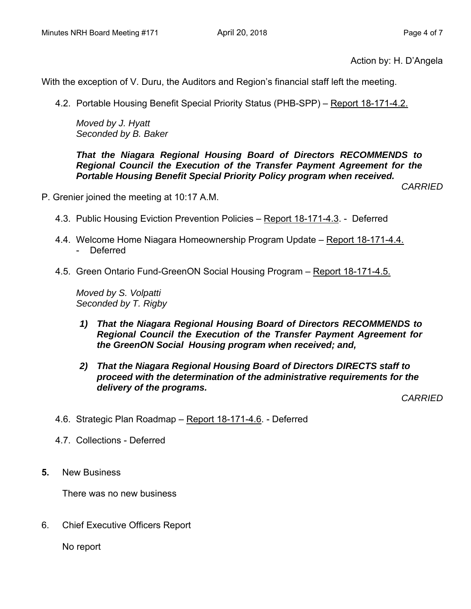Action by: H. D'Angela

With the exception of V. Duru, the Auditors and Region's financial staff left the meeting.

4.2. Portable Housing Benefit Special Priority Status (PHB-SPP) – Report 18-171-4.2.

*Moved by J. Hyatt Seconded by B. Baker* 

*That the Niagara Regional Housing Board of Directors RECOMMENDS to Regional Council the Execution of the Transfer Payment Agreement for the Portable Housing Benefit Special Priority Policy program when received.* 

*CARRIED* 

- P. Grenier joined the meeting at 10:17 A.M.
	- 4.3. Public Housing Eviction Prevention Policies Report 18-171-4.3. -Deferred
	- 4.4. Welcome Home Niagara Homeownership Program Update Report 18-171-4.4. - Deferred
	- 4.5. Green Ontario Fund-GreenON Social Housing Program Report 18-171-4.5.

*Moved by S. Volpatti Seconded by T. Rigby* 

- *1) That the Niagara Regional Housing Board of Directors RECOMMENDS to Regional Council the Execution of the Transfer Payment Agreement for the GreenON Social Housing program when received; and,*
- *2) That the Niagara Regional Housing Board of Directors DIRECTS staff to proceed with the determination of the administrative requirements for the delivery of the programs.*

*CARRIED* 

- 4.6. Strategic Plan Roadmap Report 18-171-4.6. Deferred
- 4.7. Collections Deferred
- **5.** New Business

There was no new business

6. Chief Executive Officers Report

No report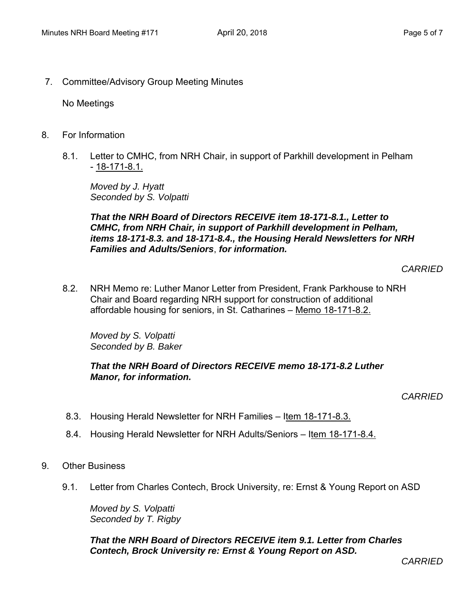7. Committee/Advisory Group Meeting Minutes

No Meetings

- 8. For Information
	- 8.1. Letter to CMHC, from NRH Chair, in support of Parkhill development in Pelham - 18-171-8.1.

*Moved by J. Hyatt Seconded by S. Volpatti* 

*That the NRH Board of Directors RECEIVE item 18-171-8.1., Letter to CMHC, from NRH Chair, in support of Parkhill development in Pelham, items 18-171-8.3. and 18-171-8.4., the Housing Herald Newsletters for NRH Families and Adults/Seniors*, *for information.* 

*CARRIED* 

8.2. NRH Memo re: Luther Manor Letter from President, Frank Parkhouse to NRH Chair and Board regarding NRH support for construction of additional affordable housing for seniors, in St. Catharines – Memo 18-171-8.2.

*Moved by S. Volpatti Seconded by B. Baker* 

#### *That the NRH Board of Directors RECEIVE memo 18-171-8.2 Luther Manor, for information.*

*CARRIED* 

- 8.3. Housing Herald Newsletter for NRH Families Item 18-171-8.3.
- 8.4. Housing Herald Newsletter for NRH Adults/Seniors Item 18-171-8.4.
- 9. Other Business
	- 9.1. Letter from Charles Contech, Brock University, re: Ernst & Young Report on ASD

*Moved by S. Volpatti Seconded by T. Rigby* 

*That the NRH Board of Directors RECEIVE item 9.1. Letter from Charles Contech, Brock University re: Ernst & Young Report on ASD.*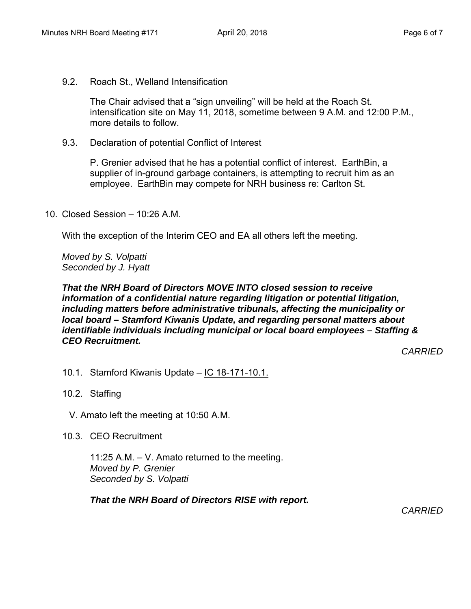9.2. Roach St., Welland Intensification

The Chair advised that a "sign unveiling" will be held at the Roach St. intensification site on May 11, 2018, sometime between 9 A.M. and 12:00 P.M., more details to follow.

9.3. Declaration of potential Conflict of Interest

P. Grenier advised that he has a potential conflict of interest. EarthBin, a supplier of in-ground garbage containers, is attempting to recruit him as an employee. EarthBin may compete for NRH business re: Carlton St.

10. Closed Session – 10:26 A.M.

With the exception of the Interim CEO and EA all others left the meeting.

*Moved by S. Volpatti Seconded by J. Hyatt* 

### *That the NRH Board of Directors MOVE INTO closed session to receive information of a confidential nature regarding litigation or potential litigation, including matters before administrative tribunals, affecting the municipality or local board – Stamford Kiwanis Update, and regarding personal matters about identifiable individuals including municipal or local board employees – Staffing & CEO Recruitment.*

*CARRIED* 

- 10.1. Stamford Kiwanis Update IC 18-171-10.1.
- 10.2. Staffing
	- V. Amato left the meeting at 10:50 A.M.
- 10.3. CEO Recruitment

11:25 A.M. – V. Amato returned to the meeting. *Moved by P. Grenier Seconded by S. Volpatti* 

*That the NRH Board of Directors RISE with report.*